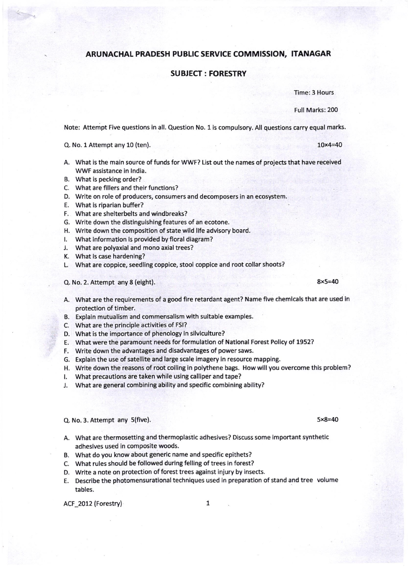## ARUNACHAL PRADESH PUBLIC SERVICE COMMISSION, ITANAGAR

## SUBJECT: FORESTRY

Time: 3 Hours

Full Marks: 200

Note: Attempt Five questions in all. Question No. 1 is compulsory. All questions carry equal marks.

Q. No. l Attempt any 10 (ten). 10x4=40

- A. What is the main source of funds for WWF? List out the names of projects that have recelved WWF assistance in lndia.
- 8. What is pecking order?
- C. What are fillers and their functions?
- D. Write on role of producers, consumers and decomposers in an ecosystem.
- E. What is riparian buffer?
- F. what are shelterbelts and windbreaks?
- 6. Write down the distingulshlng features of an ecotone.
- H. Write down the composttion of state wild life advisory board.
- I. What information is provided by floral diagram?
- J. What are polyaxial and mono axial trees?
- K. What is case hardening?
- L. What are coppice, seedling coppice, stool coppice and root collar shoots?

Q. No. 2. Attempt any 8 (eight). 8x5=40

- A. what are the requirements of a good fire retardant agent? Name flve chemicals that are used in protection of timber.
- B. Explain mutualism and commensalism with suitable examples.
- C. What are the principle activities of FSI?
- D. What is the importance of phenology in silviculture?
- E. What were the paramount needs for formulation of National Forest Policy of 1952?
- F. Write down the advantages and disadvantages of power saws.
- G. Explain the use of satellite and large scale imagery in resource mappin8.
- H. Write down the reasons of root coiling in polythene bags. How will you overcome this problem?
- I. What precautions are taken while using calliper and tape?
- J. What are general combining ability and specific combining ability?
- $Q. No. 3.$  Attempt any  $5(five)$ .  $5 \times 8 = 40$
- A. What are thermosetting and thermoplastic adhesives? Discuss some important synthetic adhesives used in composite woods,
- B. What do you know about generic name and specific epithets?
- c. what rules should be followed during felling of trees in forest?
- D. Write a note on protection of forest trees against injury by insects.
- E. Describe the photomensurational techniques used in preparation of stand and tree volume tables.

ACF 2012 (Forestry) 1